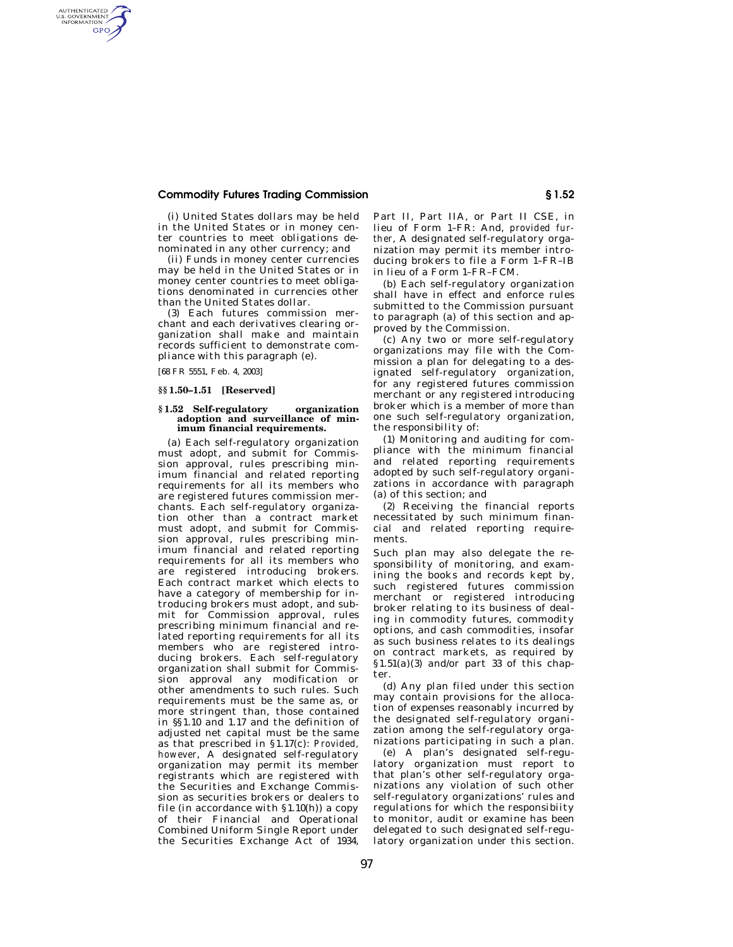## **Commodity Futures Trading Commission § 1.52**

(i) United States dollars may be held in the United States or in money center countries to meet obligations denominated in any other currency; and

(ii) Funds in money center currencies may be held in the United States or in money center countries to meet obligations denominated in currencies other than the United States dollar.

(3) Each futures commission merchant and each derivatives clearing organization shall make and maintain records sufficient to demonstrate compliance with this paragraph (e).

[68 FR 5551, Feb. 4, 2003]

AUTHENTICATED<br>U.S. GOVERNMENT<br>INFORMATION GPO

## **§§ 1.50–1.51 [Reserved]**

## **§ 1.52 Self-regulatory organization adoption and surveillance of minimum financial requirements.**

(a) Each self-regulatory organization must adopt, and submit for Commission approval, rules prescribing minimum financial and related reporting requirements for all its members who are registered futures commission merchants. Each self-regulatory organization other than a contract market must adopt, and submit for Commission approval, rules prescribing minimum financial and related reporting requirements for all its members who are registered introducing brokers. Each contract market which elects to have a category of membership for introducing brokers must adopt, and submit for Commission approval, rules prescribing minimum financial and related reporting requirements for all its members who are registered introducing brokers. Each self-regulatory organization shall submit for Commission approval any modification or other amendments to such rules. Such requirements must be the same as, or more stringent than, those contained in §§1.10 and 1.17 and the definition of adjusted net capital must be the same as that prescribed in §1.17(c): *Provided, however*, A designated self-regulatory organization may permit its member registrants which are registered with the Securities and Exchange Commission as securities brokers or dealers to file (in accordance with  $\S1.10(h)$ ) a copy of their Financial and Operational Combined Uniform Single Report under the Securities Exchange Act of 1934,

Part II, Part IIA, or Part II CSE, in lieu of Form 1–FR: And, *provided further*, A designated self-regulatory organization may permit its member introducing brokers to file a Form 1–FR–IB in lieu of a Form 1–FR–FCM.

(b) Each self-regulatory organization shall have in effect and enforce rules submitted to the Commission pursuant to paragraph (a) of this section and approved by the Commission.

(c) Any two or more self-regulatory organizations may file with the Commission a plan for delegating to a designated self-regulatory organization, for any registered futures commission merchant or any registered introducing broker which is a member of more than one such self-regulatory organization, the responsibility of:

(1) Monitoring and auditing for compliance with the minimum financial and related reporting requirements adopted by such self-regulatory organizations in accordance with paragraph (a) of this section; and

(2) Receiving the financial reports necessitated by such minimum financial and related reporting requirements.

Such plan may also delegate the responsibility of monitoring, and examining the books and records kept by, such registered futures commission merchant or registered introducing broker relating to its business of dealing in commodity futures, commodity options, and cash commodities, insofar as such business relates to its dealings on contract markets, as required by  $$1.51(a)(3)$  and/or part 33 of this chapter

(d) Any plan filed under this section may contain provisions for the allocation of expenses reasonably incurred by the designated self-regulatory organization among the self-regulatory organizations participating in such a plan.

(e) A plan's designated self-regulatory organization must report to that plan's other self-regulatory organizations any violation of such other self-regulatory organizations' rules and regulations for which the responsibiity to monitor, audit or examine has been delegated to such designated self-regulatory organization under this section.